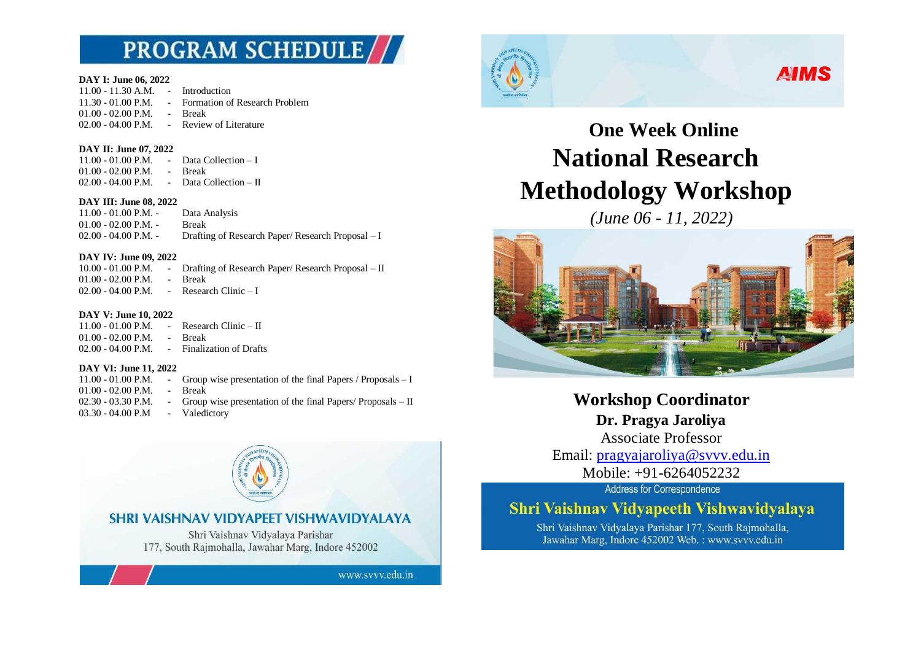# **PROGRAM SCHEDULE//**

#### **DAY I: June 06, 2022**

11.00 - 11.30 A.M. - Introduction 11.30 - 01.00 P.M. - Formation of Research Problem 01.00 - 02.00 P.M. - Break<br>02.00 - 04.00 P.M. - Review of Literature  $02.00 - 04.00$  P.M.  $-$ 

#### **DAY II: June 07, 2022**

11.00 - 01.00 P.M. - Data Collection – I 01.00 - 02.00 P.M. - Break  $02.00 - 04.00$  P.M. - Data Collection – II

#### **DAY III: June 08, 2022**

11.00 - 01.00 P.M. - Data Analysis 01.00 - 02.00 P.M. - Break<br>02.00 - 04.00 P.M. - Draftin Drafting of Research Paper/ Research Proposal – I

### **DAY IV: June 09, 2022**

10.00 - 01.00 P.M. - Drafting of Research Paper/ Research Proposal – II 01.00 - 02.00 P.M. - Break  $02.00 - 04.00$  P.M. - Research Clinic - I

### **DAY V: June 10, 2022**

 $11.00 - 01.00$  P.M. - Research Clinic – II 01.00 - 02.00 P.M. - Break<br>02.00 - 04.00 P.M. - Finalization of Drafts  $02.00 - 04.00$  P.M. -

### **DAY VI: June 11, 2022**

- 11.00 01.00 P.M. Group wise presentation of the final Papers / Proposals I
- 01.00 02.00 P.M. Break
- 02.30 03.30 P.M. Group wise presentation of the final Papers/ Proposals  $-$  II 03.30 - 04.00 P.M - Valedictory
	- SHRI VAISHNAV VIDYAPEET VISHWAVIDYALAYA Shri Vaishnav Vidyalaya Parishar 177, South Rajmohalla, Jawahar Marg, Indore 452002 www.svvv.edu.in



## **AIMS**

# **One Week Online National Research Methodology Workshop**

*(June 06 - 11, 2022)*



**Workshop Coordinator Dr. Pragya Jaroliya** Associate Professor

Email: [pragyajaroliya@svvv.edu.in](mailto:pragyajaroliya@svvv.edu.in) Mobile: +91-6264052232

Address for Correspondence

## Shri Vaishnav Vidvapeeth Vishwavidvalava

Shri Vaishnav Vidyalaya Parishar 177, South Rajmohalla, Jawahar Marg, Indore 452002 Web.: www.svvv.edu.in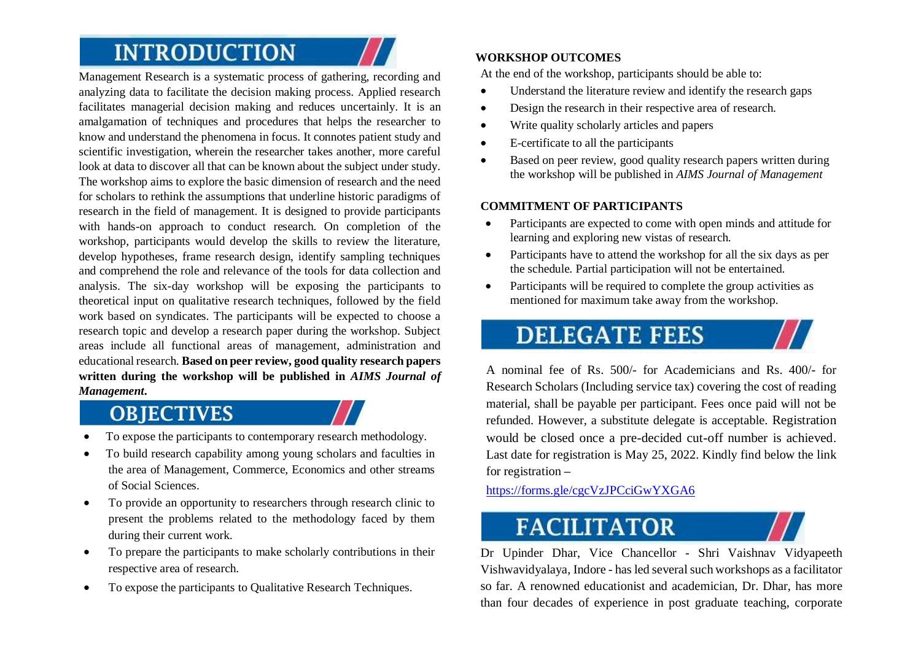# **INTRODUCTION**

Management Research is a systematic process of gathering, recording and analyzing data to facilitate the decision making process. Applied research facilitates managerial decision making and reduces uncertainly. It is an amalgamation of techniques and procedures that helps the researcher to know and understand the phenomena in focus. It connotes patient study and scientific investigation, wherein the researcher takes another, more careful look at data to discover all that can be known about the subject under study. The workshop aims to explore the basic dimension of research and the need for scholars to rethink the assumptions that underline historic paradigms of research in the field of management. It is designed to provide participants with hands-on approach to conduct research. On completion of the workshop, participants would develop the skills to review the literature, develop hypotheses, frame research design, identify sampling techniques and comprehend the role and relevance of the tools for data collection and analysis. The six-day workshop will be exposing the participants to theoretical input on qualitative research techniques, followed by the field work based on syndicates. The participants will be expected to choose a research topic and develop a research paper during the workshop. Subject areas include all functional areas of management, administration and educational research. **Based on peer review, good quality research papers written during the workshop will be published in** *AIMS Journal of Management***.**

## **OBJECTIVES**

- To expose the participants to contemporary research methodology.
- To build research capability among young scholars and faculties in the area of Management, Commerce, Economics and other streams of Social Sciences.
- To provide an opportunity to researchers through research clinic to present the problems related to the methodology faced by them during their current work.
- To prepare the participants to make scholarly contributions in their respective area of research.
- To expose the participants to Qualitative Research Techniques.

## **WORKSHOP OUTCOMES**

At the end of the workshop, participants should be able to:

- Understand the literature review and identify the research gaps
- Design the research in their respective area of research.
- Write quality scholarly articles and papers
- E-certificate to all the participants
- Based on peer review, good quality research papers written during the workshop will be published in *AIMS Journal of Management*

## **COMMITMENT OF PARTICIPANTS**

- Participants are expected to come with open minds and attitude for learning and exploring new vistas of research.
- Participants have to attend the workshop for all the six days as per the schedule. Partial participation will not be entertained.
- Participants will be required to complete the group activities as mentioned for maximum take away from the workshop.

# **DELEGATE FEES**

A nominal fee of Rs. 500/- for Academicians and Rs. 400/- for Research Scholars (Including service tax) covering the cost of reading material, shall be payable per participant. Fees once paid will not be refunded. However, a substitute delegate is acceptable. Registration would be closed once a pre-decided cut-off number is achieved. Last date for registration is May 25, 2022. Kindly find below the link for registration **–**

<https://forms.gle/cgcVzJPCciGwYXGA6>

# **FACILITATOR**

Dr Upinder Dhar, Vice Chancellor - Shri Vaishnav Vidyapeeth Vishwavidyalaya, Indore - has led several such workshops as a facilitator so far. A renowned educationist and academician, Dr. Dhar, has more than four decades of experience in post graduate teaching, corporate